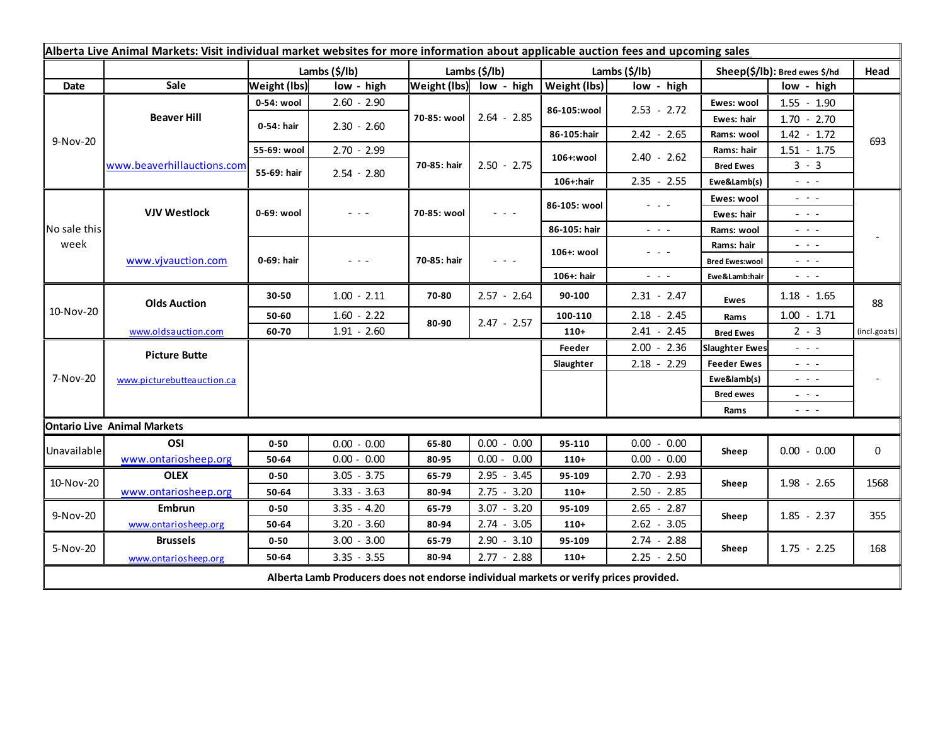| Alberta Live Animal Markets: Visit individual market websites for more information about applicable auction fees and upcoming sales |                                    |                     |               |                       |                                                                                                                        |               |                                                                                                                           |                               |                                                                                                                        |              |
|-------------------------------------------------------------------------------------------------------------------------------------|------------------------------------|---------------------|---------------|-----------------------|------------------------------------------------------------------------------------------------------------------------|---------------|---------------------------------------------------------------------------------------------------------------------------|-------------------------------|------------------------------------------------------------------------------------------------------------------------|--------------|
|                                                                                                                                     |                                    | Lambs (\$/lb)       |               | Lambs $(\frac{2}{3})$ |                                                                                                                        | Lambs (\$/lb) |                                                                                                                           | Sheep(\$/lb): Bred ewes \$/hd |                                                                                                                        | Head         |
| Date                                                                                                                                | Sale                               | <b>Weight (lbs)</b> | low - high    |                       | Weight (lbs) low - high                                                                                                | Weight (lbs)  | low - high                                                                                                                |                               | low - high                                                                                                             |              |
| 9-Nov-20                                                                                                                            | <b>Beaver Hill</b>                 | 0-54: wool          | $2.60 - 2.90$ | 70-85: wool           | $2.64 - 2.85$                                                                                                          | 86-105:wool   | $2.53 - 2.72$                                                                                                             | Ewes: wool                    | $1.55 - 1.90$                                                                                                          |              |
|                                                                                                                                     |                                    | 0-54: hair          | $2.30 - 2.60$ |                       |                                                                                                                        |               |                                                                                                                           | Ewes: hair                    | $1.70 - 2.70$                                                                                                          |              |
|                                                                                                                                     |                                    |                     |               |                       |                                                                                                                        | 86-105:hair   | $2.42 - 2.65$                                                                                                             | Rams: wool                    | $1.42 - 1.72$                                                                                                          | 693          |
|                                                                                                                                     | www.beaverhillauctions.com         | 55-69: wool         | $2.70 - 2.99$ | 70-85: hair           | $2.50 - 2.75$                                                                                                          | 106+:wool     | $2.40 - 2.62$                                                                                                             | Rams: hair                    | $1.51 - 1.75$                                                                                                          |              |
|                                                                                                                                     |                                    | 55-69: hair         | $2.54 - 2.80$ |                       |                                                                                                                        |               |                                                                                                                           | <b>Bred Ewes</b>              | $3 - 3$                                                                                                                |              |
|                                                                                                                                     |                                    |                     |               |                       |                                                                                                                        | 106+:hair     | $2.35 - 2.55$                                                                                                             | Ewe&Lamb(s)                   | $\frac{1}{2} \left( \frac{1}{2} \right) \left( \frac{1}{2} \right) \left( \frac{1}{2} \right)$                         |              |
| No sale this<br>week                                                                                                                | <b>VJV Westlock</b>                | 0-69: wool          | - - -         | 70-85: wool           | $\frac{1}{2} \left( \frac{1}{2} \right) \frac{1}{2} \left( \frac{1}{2} \right) \frac{1}{2} \left( \frac{1}{2} \right)$ | 86-105: wool  | $  -$                                                                                                                     | Ewes: wool                    | $\omega_{\rm c} \sim \omega_{\rm c}$                                                                                   |              |
|                                                                                                                                     |                                    |                     |               |                       |                                                                                                                        |               |                                                                                                                           | Ewes: hair                    | $\frac{1}{2} \left( \frac{1}{2} \right) = \frac{1}{2} \left( \frac{1}{2} \right)$                                      |              |
|                                                                                                                                     |                                    |                     |               |                       |                                                                                                                        | 86-105: hair  | $\sim$ $\sim$ $\sim$                                                                                                      | Rams: wool                    | $  -$                                                                                                                  |              |
|                                                                                                                                     | www.vjvauction.com                 | 0-69: hair          | - - -         | 70-85: hair           | $  -$                                                                                                                  | 106+: wool    | $\frac{1}{2} \left( \frac{1}{2} \right) \left( \frac{1}{2} \right) \left( \frac{1}{2} \right) \left( \frac{1}{2} \right)$ | Rams: hair                    | $\omega_{\rm{eff}}$ and $\omega_{\rm{eff}}$                                                                            |              |
|                                                                                                                                     |                                    |                     |               |                       |                                                                                                                        |               |                                                                                                                           | <b>Bred Ewes:wool</b>         | $  -$                                                                                                                  |              |
|                                                                                                                                     |                                    |                     |               |                       |                                                                                                                        | 106+: hair    | $ -$                                                                                                                      | Ewe&Lamb:hair                 | $\frac{1}{2} \left( \frac{1}{2} \right) \frac{1}{2} \left( \frac{1}{2} \right) \frac{1}{2} \left( \frac{1}{2} \right)$ |              |
| 10-Nov-20                                                                                                                           | <b>Olds Auction</b>                | 30-50               | $1.00 - 2.11$ | 70-80                 | $2.57 - 2.64$                                                                                                          | 90-100        | $2.31 - 2.47$                                                                                                             | Ewes                          | $1.18 - 1.65$                                                                                                          | 88           |
|                                                                                                                                     |                                    | 50-60               | $1.60 - 2.22$ | 80-90                 | $2.47 - 2.57$                                                                                                          | 100-110       | $2.18 - 2.45$                                                                                                             | Rams                          | $1.00 - 1.71$                                                                                                          |              |
|                                                                                                                                     | www.oldsauction.com                | 60-70               | $1.91 - 2.60$ |                       |                                                                                                                        | $110+$        | $2.41 - 2.45$                                                                                                             | <b>Bred Ewes</b>              | $2 - 3$                                                                                                                | (incl.goats) |
| 7-Nov-20                                                                                                                            | <b>Picture Butte</b>               |                     |               |                       |                                                                                                                        | Feeder        | $2.00 - 2.36$                                                                                                             | <b>Slaughter Ewes</b>         | $  -$                                                                                                                  |              |
|                                                                                                                                     | www.picturebutteauction.ca         |                     |               |                       |                                                                                                                        | Slaughter     | $2.18 - 2.29$                                                                                                             | <b>Feeder Ewes</b>            | $  -$                                                                                                                  |              |
|                                                                                                                                     |                                    |                     |               |                       |                                                                                                                        |               |                                                                                                                           | Ewe&lamb(s)                   | $\frac{1}{2} \left( \frac{1}{2} \right) = \frac{1}{2} \left( \frac{1}{2} \right)$                                      |              |
|                                                                                                                                     |                                    |                     |               |                       |                                                                                                                        |               |                                                                                                                           | <b>Bred ewes</b>              | $\frac{1}{2} \left( \frac{1}{2} \right) \frac{1}{2} \left( \frac{1}{2} \right) \frac{1}{2} \left( \frac{1}{2} \right)$ |              |
|                                                                                                                                     |                                    |                     |               |                       |                                                                                                                        |               |                                                                                                                           | Rams                          | $\frac{1}{2} \left( \frac{1}{2} \right) \frac{1}{2} \left( \frac{1}{2} \right) \frac{1}{2} \left( \frac{1}{2} \right)$ |              |
|                                                                                                                                     | <b>Ontario Live Animal Markets</b> |                     |               |                       |                                                                                                                        |               |                                                                                                                           |                               |                                                                                                                        |              |
| Unavailable                                                                                                                         | OSI                                | $0 - 50$            | $0.00 - 0.00$ | 65-80                 | $0.00 - 0.00$                                                                                                          | 95-110        | $0.00 - 0.00$                                                                                                             | Sheep                         | $0.00 - 0.00$                                                                                                          | 0            |
|                                                                                                                                     | www.ontariosheep.org               | 50-64               | $0.00 - 0.00$ | 80-95                 | $0.00 - 0.00$                                                                                                          | $110+$        | $0.00 - 0.00$                                                                                                             |                               |                                                                                                                        |              |
| 10-Nov-20                                                                                                                           | <b>OLEX</b>                        | $0 - 50$            | $3.05 - 3.75$ | 65-79                 | $2.95 - 3.45$                                                                                                          | 95-109        | $2.70 - 2.93$                                                                                                             | Sheep                         | $1.98 - 2.65$                                                                                                          | 1568         |
|                                                                                                                                     | www.ontariosheep.org               | 50-64               | $3.33 - 3.63$ | 80-94                 | $2.75 - 3.20$                                                                                                          | $110+$        | $2.50 - 2.85$                                                                                                             |                               |                                                                                                                        |              |
| 9-Nov-20                                                                                                                            | Embrun                             | $0 - 50$            | $3.35 - 4.20$ | 65-79                 | $3.07 - 3.20$                                                                                                          | 95-109        | $2.65 - 2.87$                                                                                                             | Sheep                         | $1.85 - 2.37$                                                                                                          | 355          |
|                                                                                                                                     | www.ontariosheep.org               | 50-64               | $3.20 - 3.60$ | 80-94                 | $2.74 - 3.05$                                                                                                          | $110+$        | $2.62 - 3.05$                                                                                                             |                               |                                                                                                                        |              |
| 5-Nov-20                                                                                                                            | <b>Brussels</b>                    | $0 - 50$            | $3.00 - 3.00$ | 65-79                 | $2.90 - 3.10$                                                                                                          | 95-109        | $2.74 - 2.88$                                                                                                             | Sheep                         | $1.75 - 2.25$                                                                                                          | 168          |
|                                                                                                                                     | www.ontariosheep.org               | 50-64               | $3.35 - 3.55$ | 80-94                 | $2.77 - 2.88$                                                                                                          | $110+$        | $2.25 - 2.50$                                                                                                             |                               |                                                                                                                        |              |
| Alberta Lamb Producers does not endorse individual markets or verify prices provided.                                               |                                    |                     |               |                       |                                                                                                                        |               |                                                                                                                           |                               |                                                                                                                        |              |